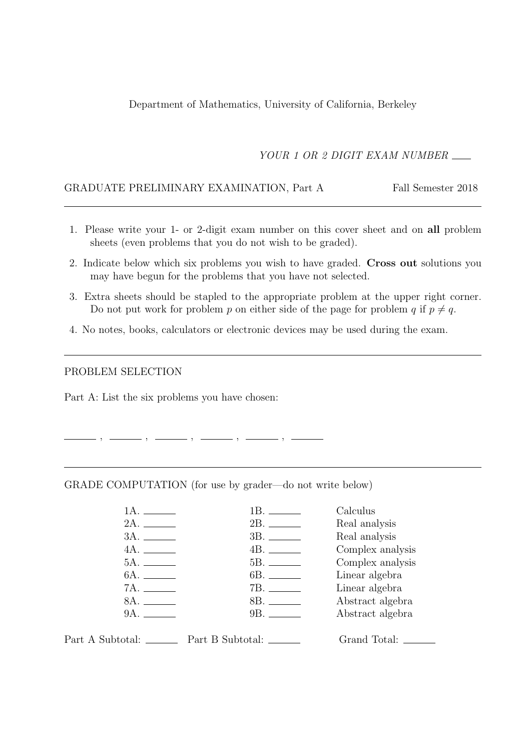Department of Mathematics, University of California, Berkeley

YOUR 1 OR 2 DIGIT EXAM NUMBER

#### GRADUATE PRELIMINARY EXAMINATION, Part A Fall Semester 2018

- 1. Please write your 1- or 2-digit exam number on this cover sheet and on all problem sheets (even problems that you do not wish to be graded).
- 2. Indicate below which six problems you wish to have graded. Cross out solutions you may have begun for the problems that you have not selected.
- 3. Extra sheets should be stapled to the appropriate problem at the upper right corner. Do not put work for problem p on either side of the page for problem q if  $p \neq q$ .
- 4. No notes, books, calculators or electronic devices may be used during the exam.

#### PROBLEM SELECTION

Part A: List the six problems you have chosen:

 $\, ,\,\, \underline{\hspace{1cm}}\, \, ,\,\, \underline{\hspace{1cm}}\, \, ,\,\, \underline{\hspace{1cm}}\, \, ,\,\, \underline{\hspace{1cm}}\, \, ,\,\, \, \underline{\hspace{1cm}}\, \, ,\,\, \, \, \underline{\hspace{1cm}}\, \, ,\,\, \, \, \, \underline{\hspace{1cm}}\, \, ,\,\, \, \, \, \, ,\,\, \, \, \, \, \, \, \, ,\,\, \, \, \, \, \, \, ,\,\, \, \, \, \, ,\,\, \, \, \, \, ,\,\, \, \, \, ,\,\, \, \$ 

GRADE COMPUTATION (for use by grader—do not write below)

| 1A. .                                                   | 1B. <sub>——</sub> | Calculus         |
|---------------------------------------------------------|-------------------|------------------|
|                                                         |                   | Real analysis    |
|                                                         |                   | Real analysis    |
|                                                         |                   | Complex analysis |
|                                                         |                   | Complex analysis |
|                                                         |                   | Linear algebra   |
|                                                         |                   | Linear algebra   |
|                                                         |                   | Abstract algebra |
|                                                         |                   | Abstract algebra |
|                                                         |                   |                  |
| Part A Subtotal: <u>_______</u> Part B Subtotal: ______ |                   |                  |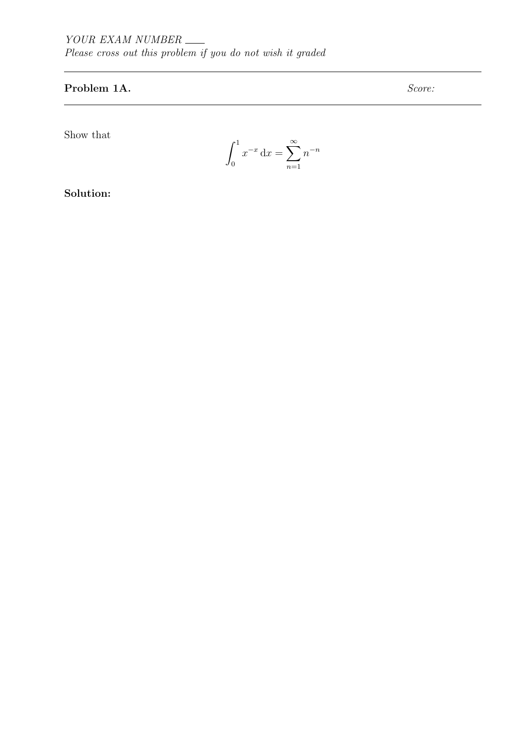## Problem 1A. Score:

Show that

$$
\int_0^1 x^{-x} dx = \sum_{n=1}^\infty n^{-n}
$$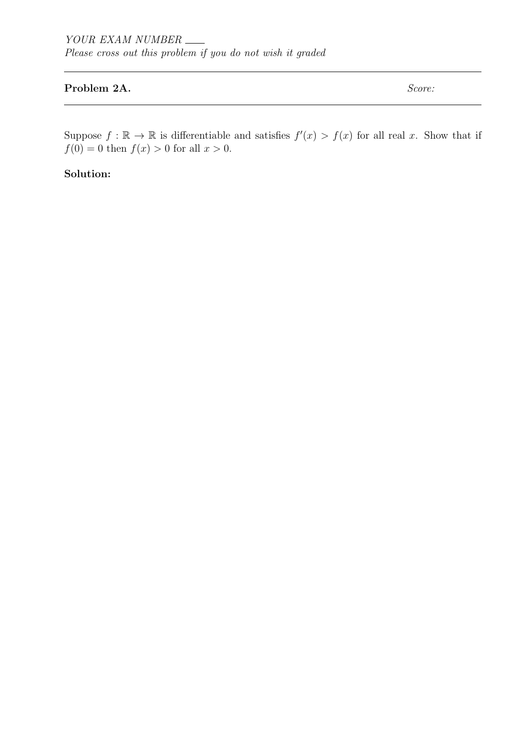## Problem 2A. Score:

Suppose  $f : \mathbb{R} \to \mathbb{R}$  is differentiable and satisfies  $f'(x) > f(x)$  for all real x. Show that if  $f(0) = 0$  then  $f(x) > 0$  for all  $x > 0$ .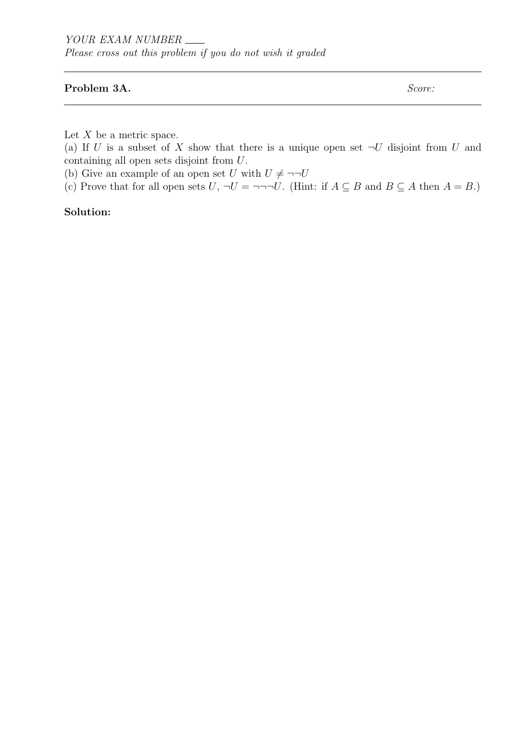Please cross out this problem if you do not wish it graded

#### Problem 3A. Score:

Let  $X$  be a metric space.

(a) If U is a subset of X show that there is a unique open set  $\neg U$  disjoint from U and containing all open sets disjoint from U.

(b) Give an example of an open set U with  $U \neq \neg\neg U$ 

(c) Prove that for all open sets  $U, \neg U = \neg \neg \neg U$ . (Hint: if  $A \subseteq B$  and  $B \subseteq A$  then  $A = B$ .)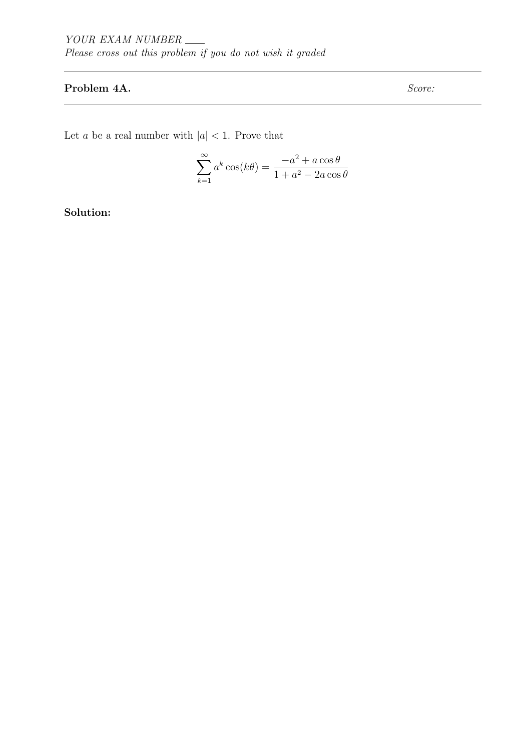## Problem 4A. Score:

Let  $a$  be a real number with  $\vert a \vert < 1.$  Prove that

$$
\sum_{k=1}^{\infty} a^k \cos(k\theta) = \frac{-a^2 + a\cos\theta}{1 + a^2 - 2a\cos\theta}
$$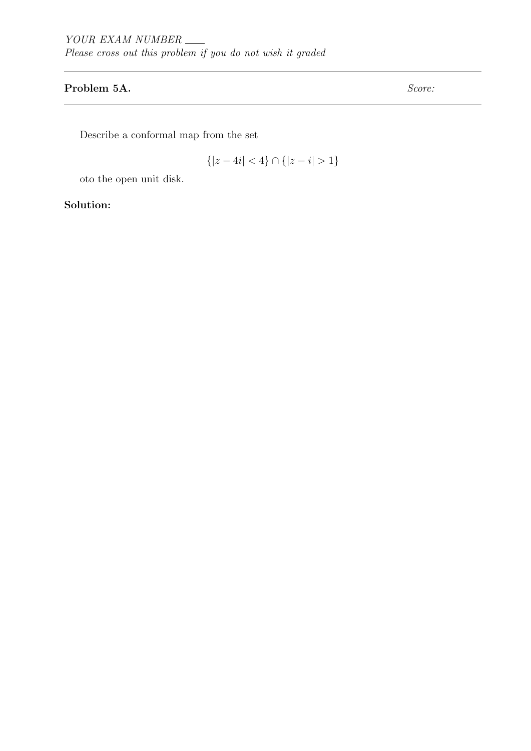## Problem 5A. Score:

Describe a conformal map from the set

$$
\{|z - 4i| < 4\} \cap \{|z - i| > 1\}
$$

oto the open unit disk.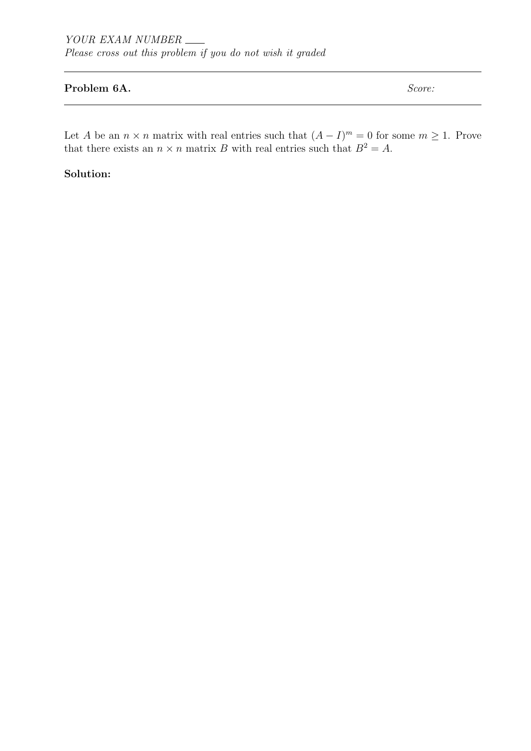## Problem 6A. Score:

Let A be an  $n \times n$  matrix with real entries such that  $(A - I)^m = 0$  for some  $m \ge 1$ . Prove that there exists an  $n \times n$  matrix B with real entries such that  $B^2 = A$ .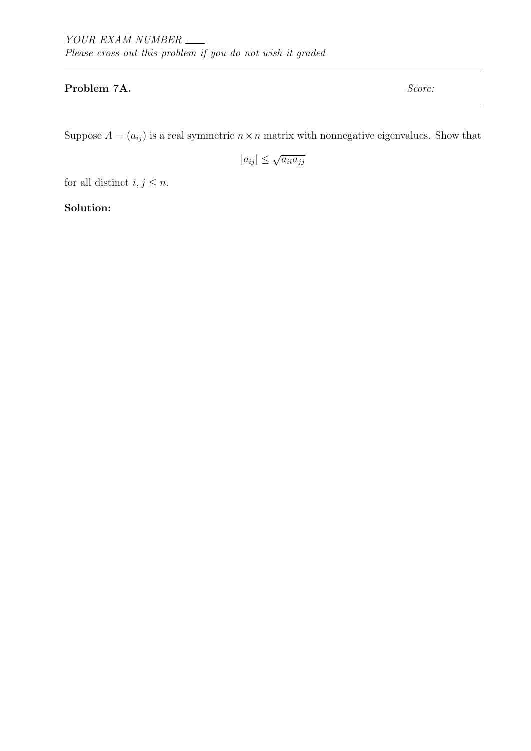## Problem 7A. Score:

Suppose  $A = (a_{ij})$  is a real symmetric  $n \times n$  matrix with nonnegative eigenvalues. Show that

 $|a_{ij}| \leq \sqrt{a_{ii} a_{jj}}$ 

for all distinct  $i,j\leq n.$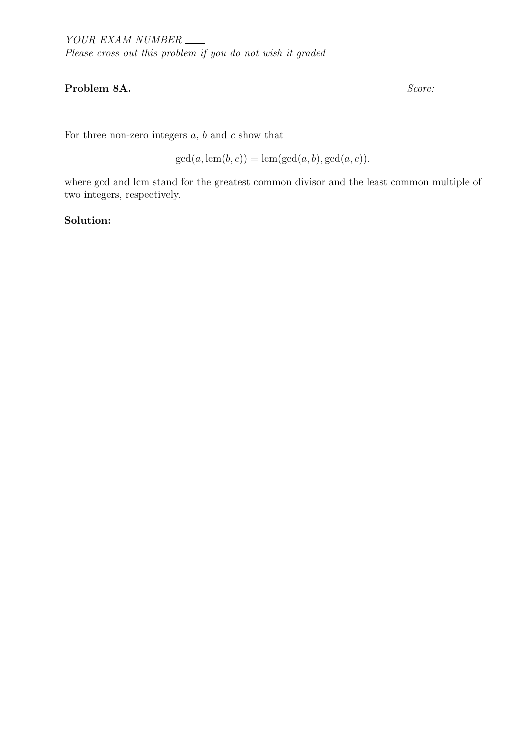#### Problem 8A. Score:

For three non-zero integers  $a, b$  and  $c$  show that

 $gcd(a, lcm(b, c)) = lcm(gcd(a, b), gcd(a, c)).$ 

where gcd and lcm stand for the greatest common divisor and the least common multiple of two integers, respectively.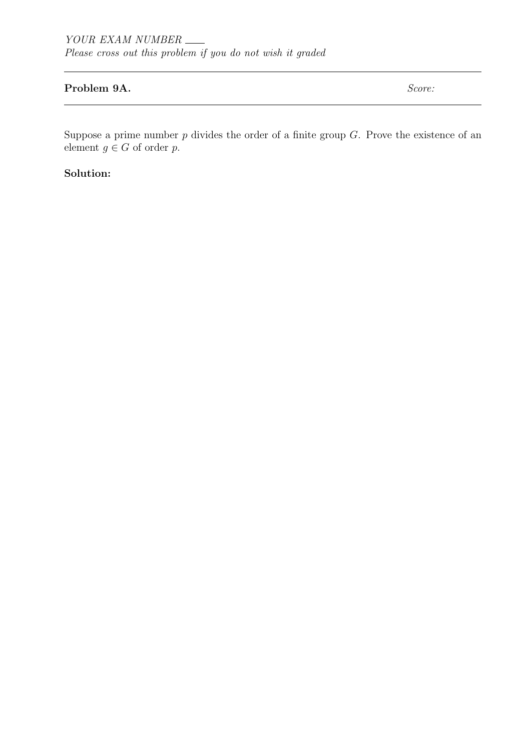### Problem 9A. Score:

Suppose a prime number  $p$  divides the order of a finite group  $G$ . Prove the existence of an element  $g \in G$  of order p.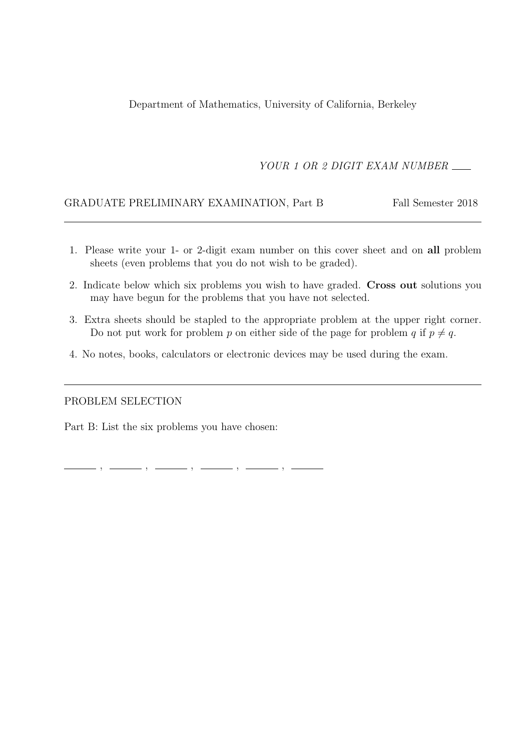Department of Mathematics, University of California, Berkeley

YOUR 1 OR 2 DIGIT EXAM NUMBER

### GRADUATE PRELIMINARY EXAMINATION, Part B Fall Semester 2018

- 1. Please write your 1- or 2-digit exam number on this cover sheet and on all problem sheets (even problems that you do not wish to be graded).
- 2. Indicate below which six problems you wish to have graded. Cross out solutions you may have begun for the problems that you have not selected.
- 3. Extra sheets should be stapled to the appropriate problem at the upper right corner. Do not put work for problem p on either side of the page for problem q if  $p \neq q$ .
- 4. No notes, books, calculators or electronic devices may be used during the exam.

#### PROBLEM SELECTION

Part B: List the six problems you have chosen:

, , , , ,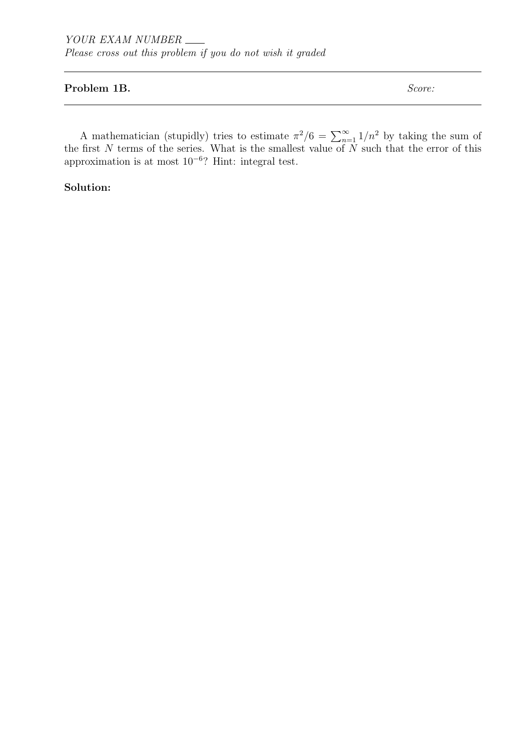### Problem 1B. Score:

A mathematician (stupidly) tries to estimate  $\pi^2/6 = \sum_{n=1}^{\infty} 1/n^2$  by taking the sum of the first  $N$  terms of the series. What is the smallest value of  $N$  such that the error of this approximation is at most 10<sup>−</sup><sup>6</sup> ? Hint: integral test.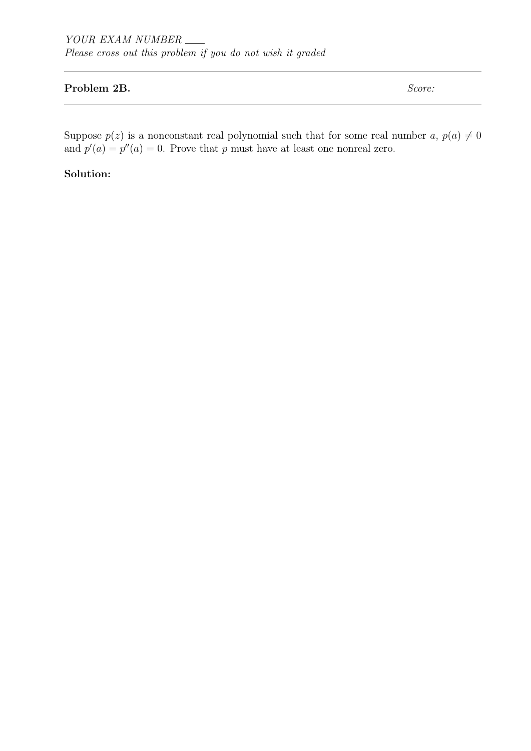## Problem 2B. Score:

Suppose  $p(z)$  is a nonconstant real polynomial such that for some real number  $a, p(a) \neq 0$ and  $p'(a) = p''(a) = 0$ . Prove that p must have at least one nonreal zero.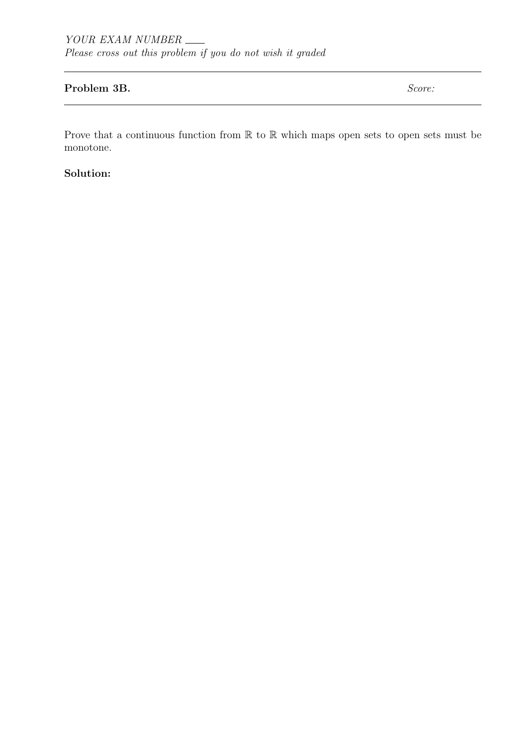### Problem 3B. Score:

Prove that a continuous function from  $\mathbb R$  to  $\mathbb R$  which maps open sets to open sets must be monotone.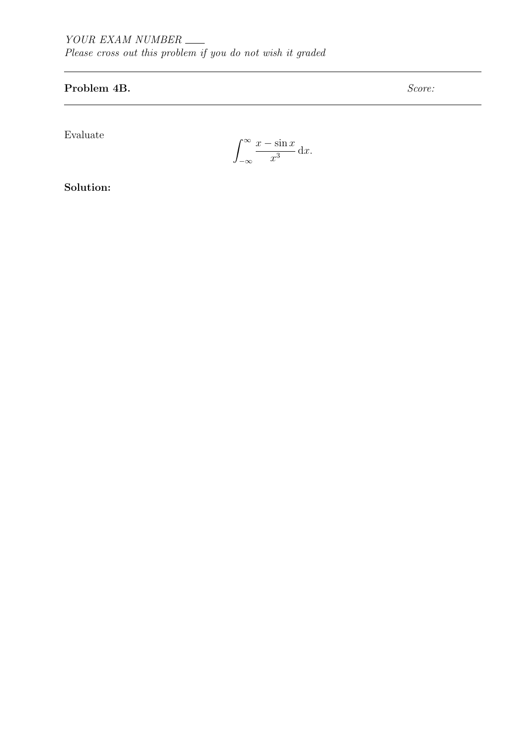# Problem 4B. Score:

Evaluate

$$
\int_{-\infty}^{\infty} \frac{x - \sin x}{x^3} \, \mathrm{d}x.
$$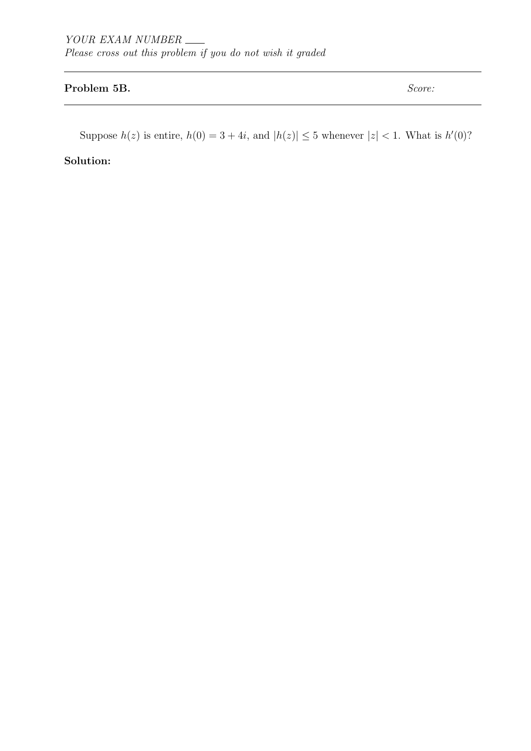## Problem 5B. Score:

Suppose  $h(z)$  is entire,  $h(0) = 3 + 4i$ , and  $|h(z)| \leq 5$  whenever  $|z| < 1$ . What is  $h'(0)$ ?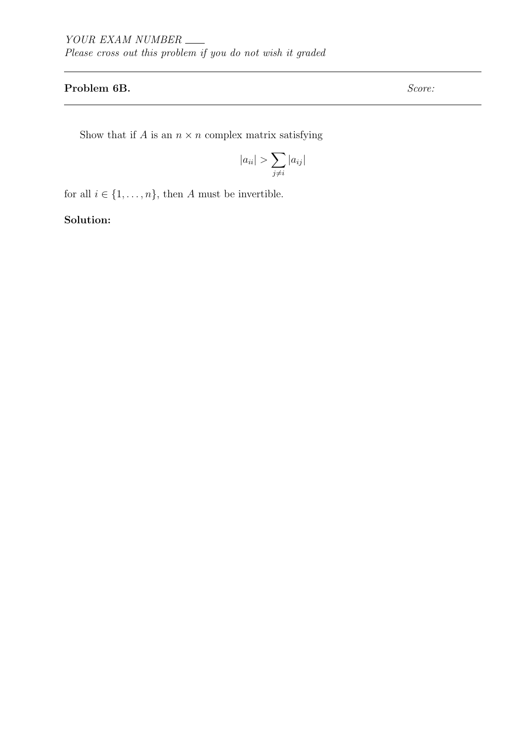## Problem 6B. Score:

Show that if  $A$  is an  $n \times n$  complex matrix satisfying

$$
|a_{ii}| > \sum_{j \neq i} |a_{ij}|
$$

for all  $i\in\{1,\ldots,n\},$  then  $A$  must be invertible.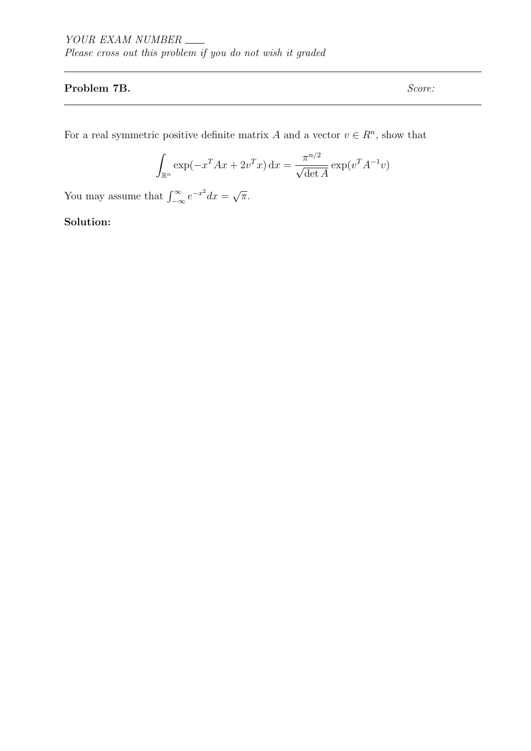## Problem 7B. Score:

For a real symmetric positive definite matrix A and a vector  $v \in \mathbb{R}^n$ , show that

$$
\int_{\mathbb{R}^n} \exp(-x^T A x + 2v^T x) dx = \frac{\pi^{n/2}}{\sqrt{\det A}} \exp(v^T A^{-1} v)
$$

You may assume that  $\int_{-\infty}^{\infty} e^{-x^2} dx =$ √ π.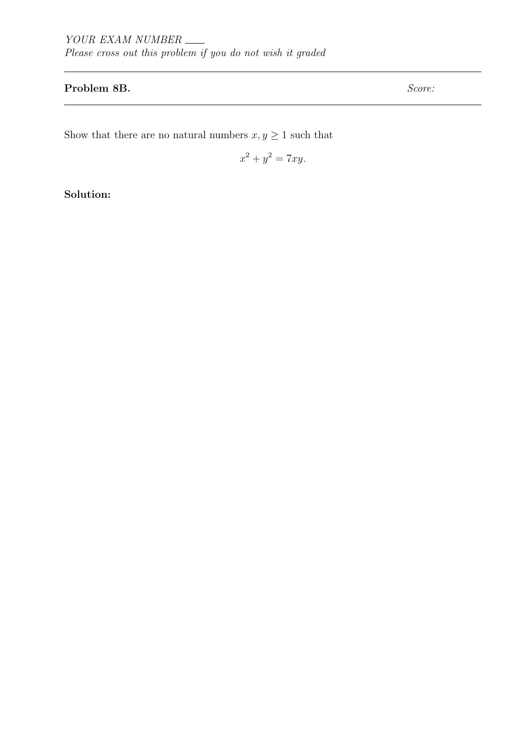## Problem 8B. Score:

Show that there are no natural numbers  $x,y\geq 1$  such that

$$
x^2 + y^2 = 7xy.
$$